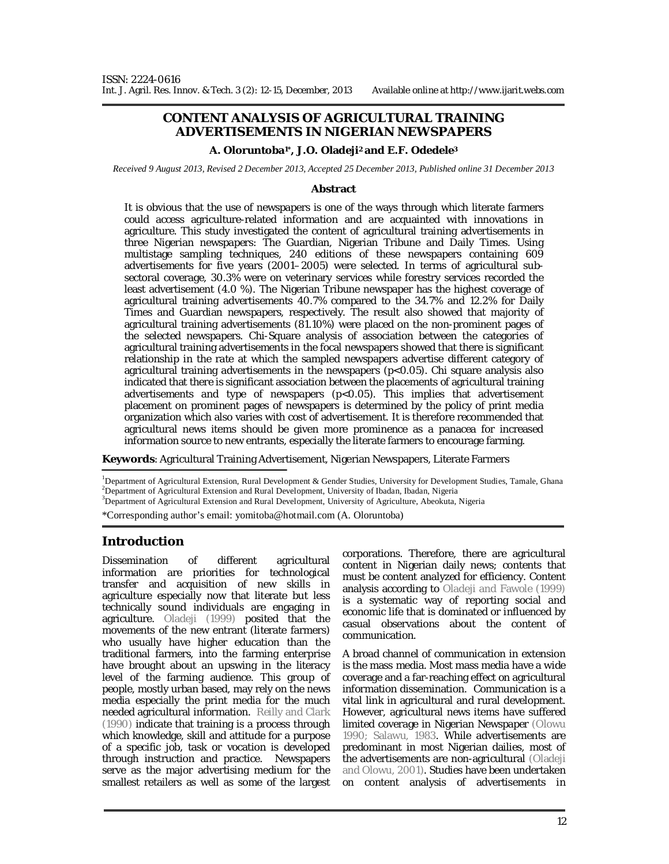# **CONTENT ANALYSIS OF AGRICULTURAL TRAINING ADVERTISEMENTS IN NIGERIAN NEWSPAPERS**

#### **A. Oloruntoba1\*, J.O. Oladeji2 and E.F. Odedele<sup>3</sup>**

*Received 9 August 2013, Revised 2 December 2013, Accepted 25 December 2013, Published online 31 December 2013*

#### **Abstract**

It is obvious that the use of newspapers is one of the ways through which literate farmers could access agriculture-related information and are acquainted with innovations in agriculture. This study investigated the content of agricultural training advertisements in three Nigerian newspapers: The Guardian, Nigerian Tribune and Daily Times. Using multistage sampling techniques, 240 editions of these newspapers containing 609 advertisements for five years (2001–2005) were selected. In terms of agricultural subsectoral coverage, 30.3% were on veterinary services while forestry services recorded the least advertisement (4.0 %). The Nigerian Tribune newspaper has the highest coverage of agricultural training advertisements 40.7% compared to the 34.7% and 12.2% for Daily Times and Guardian newspapers, respectively. The result also showed that majority of agricultural training advertisements (81.10%) were placed on the non-prominent pages of the selected newspapers. Chi-Square analysis of association between the categories of agricultural training advertisements in the focal newspapers showed that there is significant relationship in the rate at which the sampled newspapers advertise different category of agricultural training advertisements in the newspapers (p<0.05). Chi square analysis also indicated that there is significant association between the placements of agricultural training advertisements and type of newspapers (p<0.05). This implies that advertisement placement on prominent pages of newspapers is determined by the policy of print media organization which also varies with cost of advertisement. It is therefore recommended that agricultural news items should be given more prominence as a panacea for increased information source to new entrants, especially the literate farmers to encourage farming.

**Keywords**: Agricultural Training Advertisement, Nigerian Newspapers, Literate Farmers

<sup>1</sup>Department of Agricultural Extension, Rural Development & Gender Studies, University for Development Studies, Tamale, Ghana  $2D$ epartment of Agricultural Extension and Rural Development, University of Ibadan, Ibadan, Nigeria

<sup>3</sup>Department of Agricultural Extension and Rural Development, University of Agriculture, Abeokuta, Nigeria

\*Corresponding author's email: yomitoba@hotmail.com (A. Oloruntoba)

### **Introduction**

Dissemination of different agricultural information are priorities for technological transfer and acquisition of new skills in agriculture especially now that literate but less technically sound individuals are engaging in agriculture. Oladeji (1999) posited that the movements of the new entrant (literate farmers) who usually have higher education than the traditional farmers, into the farming enterprise have brought about an upswing in the literacy level of the farming audience. This group of people, mostly urban based, may rely on the news media especially the print media for the much needed agricultural information. Reilly and Clark (1990) indicate that training is a process through which knowledge, skill and attitude for a purpose of a specific job, task or vocation is developed through instruction and practice. Newspapers serve as the major advertising medium for the smallest retailers as well as some of the largest

corporations. Therefore, there are agricultural content in Nigerian daily news; contents that must be content analyzed for efficiency. Content analysis according to Oladeji and Fawole (1999) is a systematic way of reporting social and economic life that is dominated or influenced by casual observations about the content of communication.

A broad channel of communication in extension is the mass media. Most mass media have a wide coverage and a far-reaching effect on agricultural information dissemination. Communication is a vital link in agricultural and rural development. However, agricultural news items have suffered limited coverage in Nigerian Newspaper (Olowu 1990; Salawu, 1983. While advertisements are predominant in most Nigerian dailies, most of the advertisements are non-agricultural (Oladeji and Olowu, 2001). Studies have been undertaken on content analysis of advertisements in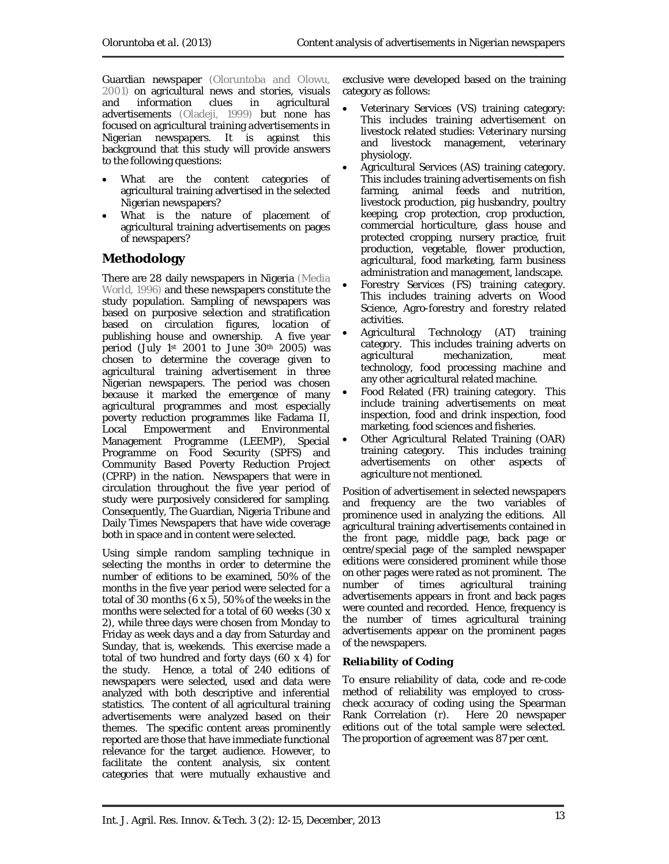Guardian newspaper (Oloruntoba and Olowu, 2001) on agricultural news and stories, visuals and information clues advertisements (Oladeji, 1999) but none has focused on agricultural training advertisements in Nigerian newspapers. It is against this background that this study will provide answers to the following questions:

- What are the content categories of agricultural training advertised in the selected Nigerian newspapers?
- What is the nature of placement of agricultural training advertisements on pages of newspapers?

# **Methodology**

There are 28 daily newspapers in Nigeria (Media World, 1996) and these newspapers constitute the study population. Sampling of newspapers was based on purposive selection and stratification based on circulation figures, location of publishing house and ownership. A five year period (July 1st 2001 to June 30th 2005) was chosen to determine the coverage given to agricultural training advertisement in three Nigerian newspapers. The period was chosen because it marked the emergence of many agricultural programmes and most especially poverty reduction programmes like Fadama II, Local Empowerment and Environmental Management Programme (LEEMP), Special Programme on Food Security (SPFS) and Community Based Poverty Reduction Project (CPRP) in the nation. Newspapers that were in circulation throughout the five year period of study were purposively considered for sampling. Consequently, The Guardian, Nigeria Tribune and Daily Times Newspapers that have wide coverage both in space and in content were selected.

Using simple random sampling technique in selecting the months in order to determine the number of editions to be examined, 50% of the months in the five year period were selected for a total of 30 months  $(6 \times 5)$ , 50% of the weeks in the months were selected for a total of 60 weeks (30 x 2), while three days were chosen from Monday to Friday as week days and a day from Saturday and Sunday, that is, weekends. This exercise made a total of two hundred and forty days (60 x 4) for the study. Hence, a total of 240 editions of newspapers were selected, used and data were analyzed with both descriptive and inferential statistics. The content of all agricultural training advertisements were analyzed based on their themes. The specific content areas prominently reported are those that have immediate functional relevance for the target audience. However, to facilitate the content analysis, six content categories that were mutually exhaustive and

exclusive were developed based on the training category as follows:

- Veterinary Services (VS) training category: This includes training advertisement on livestock related studies: Veterinary nursing and livestock management, veterinary physiology.
- Agricultural Services (AS) training category. This includes training advertisements on fish farming, animal feeds and nutrition, livestock production, pig husbandry, poultry keeping, crop protection, crop production, commercial horticulture, glass house and protected cropping, nursery practice, fruit production, vegetable, flower production, agricultural, food marketing, farm business administration and management, landscape.
- Forestry Services (FS) training category. This includes training adverts on Wood Science, Agro-forestry and forestry related activities.
- Agricultural Technology (AT) training category. This includes training adverts on agricultural mechanization, meat technology, food processing machine and any other agricultural related machine.
- Food Related (FR) training category. This include training advertisements on meat inspection, food and drink inspection, food marketing, food sciences and fisheries.
- Other Agricultural Related Training (OAR) training category. This includes training advertisements on other aspects of agriculture not mentioned.

Position of advertisement in selected newspapers and frequency are the two variables of prominence used in analyzing the editions. All agricultural training advertisements contained in the front page, middle page, back page or centre/special page of the sampled newspaper editions were considered prominent while those on other pages were rated as not prominent. The number of times agricultural training advertisements appears in front and back pages were counted and recorded. Hence, frequency is the number of times agricultural training advertisements appear on the prominent pages of the newspapers.

# *Reliability of Coding*

To ensure reliability of data, code and re-code method of reliability was employed to crosscheck accuracy of coding using the Spearman<br>Rank Correlation (r). Here 20 newspaper Rank Correlation (r). editions out of the total sample were selected. The proportion of agreement was 87 per cent.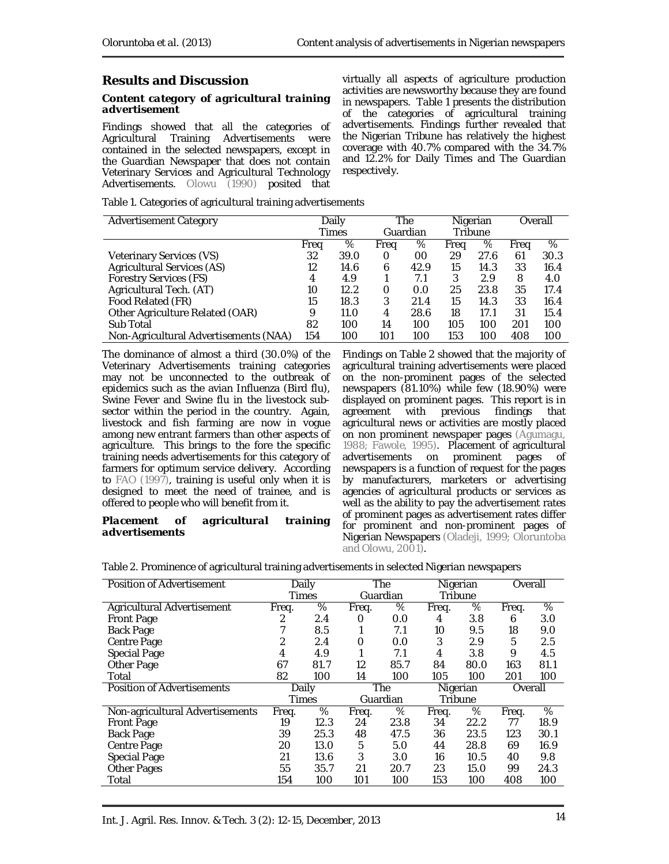# **Results and Discussion**

#### *Content category of agricultural training advertisement*

Findings showed that all the categories of Agricultural Training Advertisements were contained in the selected newspapers, except in the Guardian Newspaper that does not contain Veterinary Services and Agricultural Technology Advertisements. Olowu (1990) posited that

virtually all aspects of agriculture production activities are newsworthy because they are found in newspapers. Table 1 presents the distribution of the categories of agricultural training advertisements. Findings further revealed that the Nigerian Tribune has relatively the highest coverage with 40.7% compared with the 34.7% and 12.2% for Daily Times and The Guardian respectively.

Table 1. Categories of agricultural training advertisements

| Advertisement Category                | Daily<br>Times |      | The<br>Guardian |      | Nigerian<br>Tribune |      | Overall |      |
|---------------------------------------|----------------|------|-----------------|------|---------------------|------|---------|------|
|                                       | Freg           | %    | Freg            | %    | Freg                | %    | Freg    | %    |
| Veterinary Services (VS)              | 32             | 39.0 | Ο               | 00   | 29                  | 27.6 | 61      | 30.3 |
| Agricultural Services (AS)            | 12             | 14.6 | 6               | 42.9 | 15                  | 14.3 | 33      | 16.4 |
| Forestry Services (FS)                | 4              | 4.9  |                 | 7.1  | 3                   | 2.9  | 8       | 4.0  |
| Agricultural Tech. (AT)               | 10             | 12.2 | Ω               | 0.0  | 25                  | 23.8 | 35      | 17.4 |
| Food Related (FR)                     | 15             | 18.3 | 3               | 21.4 | 15                  | 14.3 | 33      | 16.4 |
| Other Agriculture Related (OAR)       | 9              | 11.0 | 4               | 28.6 | 18                  | 17.1 | 31      | 15.4 |
| Sub Total                             | 82             | 100  | 14              | 100  | 105                 | 100  | 201     | 100  |
| Non-Agricultural Advertisements (NAA) | 154            | 100  | 101             | 100  | 153                 | 100  | 408     | 100  |

The dominance of almost a third (30.0%) of the Veterinary Advertisements training categories may not be unconnected to the outbreak of epidemics such as the avian Influenza (Bird flu), Swine Fever and Swine flu in the livestock subsector within the period in the country. Again, livestock and fish farming are now in vogue among new entrant farmers than other aspects of agriculture. This brings to the fore the specific training needs advertisements for this category of farmers for optimum service delivery. According to FAO (1997), training is useful only when it is designed to meet the need of trainee, and is offered to people who will benefit from it.

#### *Placement of agricultural training advertisements*

Findings on Table 2 showed that the majority of agricultural training advertisements were placed on the non-prominent pages of the selected newspapers (81.10%) while few (18.90%) were displayed on prominent pages. This report is in agreement with previous findings that agricultural news or activities are mostly placed on non prominent newspaper pages (Agumagu, 1988; Fawole, 1995). Placement of agricultural advertisements on prominent pages of newspapers is a function of request for the pages by manufacturers, marketers or advertising agencies of agricultural products or services as well as the ability to pay the advertisement rates of prominent pages as advertisement rates differ for prominent and non-prominent pages of Nigerian Newspapers (Oladeji, 1999; Oloruntoba and Olowu, 2001).

| Table 2. Prominence of agricultural training advertisements in selected Nigerian newspapers |  |  |
|---------------------------------------------------------------------------------------------|--|--|
|                                                                                             |  |  |

| Position of Advertisement       | Daily |      | The      |          | Nigerian |         | Overall |      |
|---------------------------------|-------|------|----------|----------|----------|---------|---------|------|
|                                 | Times |      |          | Guardian |          | Tribune |         |      |
| Agricultural Advertisement      | Freq. | %    | Freq.    | %        | Freq.    | %       | Freq.   | $\%$ |
| <b>Front Page</b>               | 2     | 2.4  | O        | 0.0      | 4        | 3.8     | 6       | 3.0  |
| Back Page                       |       | 8.5  |          | 7.1      | 10       | 9.5     | 18      | 9.0  |
| Centre Page                     | 2     | 2.4  | 0        | 0.0      | 3        | 2.9     | 5       | 2.5  |
| Special Page                    | 4     | 4.9  |          | 7.1      | 4        | 3.8     | 9       | 4.5  |
| Other Page                      | 67    | 81.7 | 12       | 85.7     | 84       | 80.0    | 163     | 81.1 |
| Total                           | 82    | 100  | 14       | 100      | 105      | 100     | 201     | 100  |
| Position of Advertisements      | Daily |      | The      |          | Nigerian |         | Overall |      |
|                                 | Times |      | Guardian |          | Tribune  |         |         |      |
| Non-agricultural Advertisements | Freg. | %    | Freg.    | %        | Freg.    | %       | Freq.   | %    |
| <b>Front Page</b>               | 19    | 12.3 | 24       | 23.8     | 34       | 22.2    | 77      | 18.9 |
| <b>Back Page</b>                | 39    | 25.3 | 48       | 47.5     | 36       | 23.5    | 123     | 30.1 |
| Centre Page                     | 20    | 13.0 | 5        | 5.0      | 44       | 28.8    | 69      | 16.9 |
| Special Page                    | 21    | 13.6 | 3        | 3.0      | 16       | 10.5    | 40      | 9.8  |
| Other Pages                     | 55    | 35.7 | 21       | 20.7     | 23       | 15.0    | 99      | 24.3 |
| Total                           | 154   | 100  | 101      | 100      | 153      | 100     | 408     | 100  |